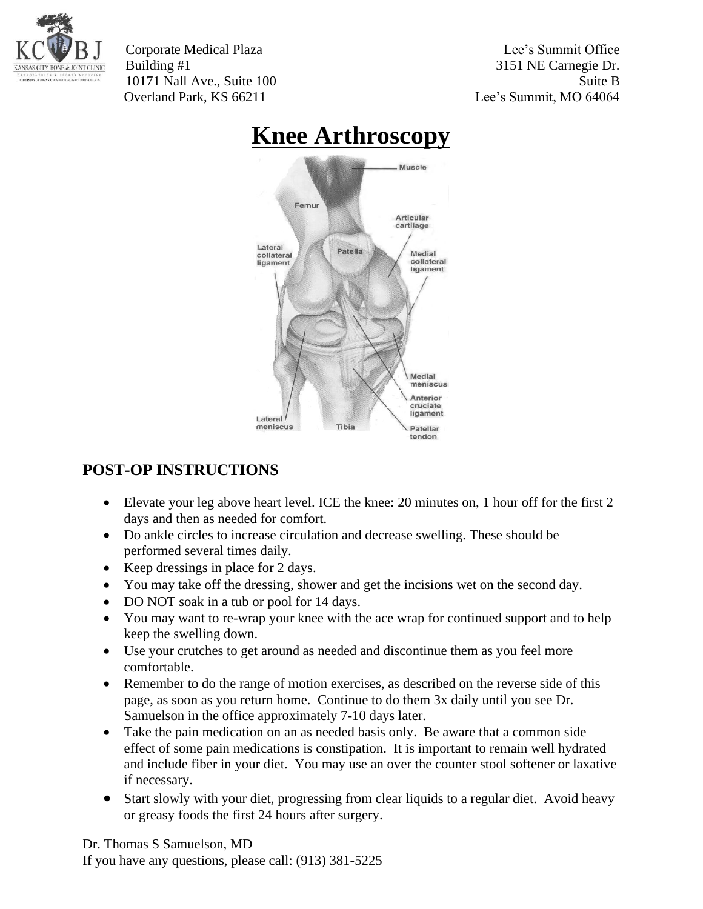

Corporate Medical Plaza Lee's Summit Office Building #1 3151 NE Carnegie Dr. 10171 Nall Ave., Suite 100 Suite B Overland Park, KS 66211 Lee's Summit, MO 64064



## **Knee Arthroscopy**

## **POST-OP INSTRUCTIONS**

- Elevate your leg above heart level. ICE the knee: 20 minutes on, 1 hour off for the first 2 days and then as needed for comfort.
- Do ankle circles to increase circulation and decrease swelling. These should be performed several times daily.
- Keep dressings in place for 2 days.
- You may take off the dressing, shower and get the incisions wet on the second day.
- DO NOT soak in a tub or pool for 14 days.
- You may want to re-wrap your knee with the ace wrap for continued support and to help keep the swelling down.
- Use your crutches to get around as needed and discontinue them as you feel more comfortable.
- Remember to do the range of motion exercises, as described on the reverse side of this page, as soon as you return home. Continue to do them 3x daily until you see Dr. Samuelson in the office approximately 7-10 days later.
- Take the pain medication on an as needed basis only. Be aware that a common side effect of some pain medications is constipation. It is important to remain well hydrated and include fiber in your diet. You may use an over the counter stool softener or laxative if necessary.
- Start slowly with your diet, progressing from clear liquids to a regular diet. Avoid heavy or greasy foods the first 24 hours after surgery.

Dr. Thomas S Samuelson, MD If you have any questions, please call: (913) 381-5225